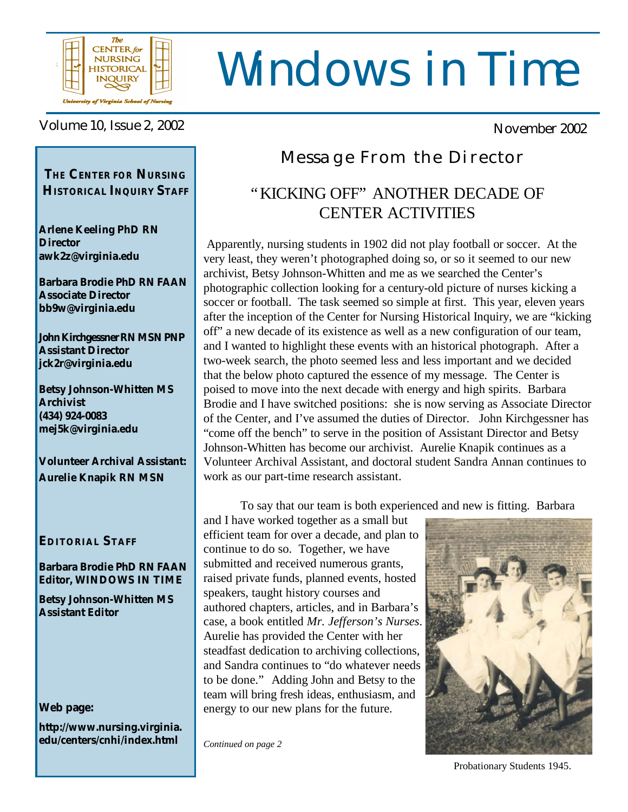

# Windows in Time

Volume 10, Issue 2, 2002 November 2002

*THE* **CENTER** *FOR* **NURSING HISTORICAL INQUIRY STAFF**

**Arlene Keeling PhD RN Director awk2z@virginia.edu**

**Barbara Brodie PhD RN FAAN Associate Director bb9w@virginia.edu**

**John Kirchgessner RN MSN PNP Assistant Director jck2r@virginia.edu**

**Betsy Johnson-Whitten MS Archivist (434) 924-0083 mej5k@virginia.edu**

**Volunteer Archival Assistant: Aurelie Knapik RN MSN**

### **EDITORIAL STAFF**

### **Barbara Brodie PhD RN FAAN Editor, WINDOWS IN TIME**

**Betsy Johnson-Whitten MS Assistant Editor**

### **Web page:**

**http://www.nursing.virginia. edu/centers/cnhi/index.html**

### Message From the Director

### "KICKING OFF" ANOTHER DECADE OF CENTER ACTIVITIES

 Apparently, nursing students in 1902 did not play football or soccer. At the very least, they weren't photographed doing so, or so it seemed to our new archivist, Betsy Johnson-Whitten and me as we searched the Center's photographic collection looking for a century-old picture of nurses kicking a soccer or football. The task seemed so simple at first. This year, eleven years after the inception of the Center for Nursing Historical Inquiry, we are "kicking off" a new decade of its existence as well as a new configuration of our team, and I wanted to highlight these events with an historical photograph. After a two-week search, the photo seemed less and less important and we decided that the below photo captured the essence of my message. The Center is poised to move into the next decade with energy and high spirits. Barbara Brodie and I have switched positions: she is now serving as Associate Director of the Center, and I've assumed the duties of Director. John Kirchgessner has "come off the bench" to serve in the position of Assistant Director and Betsy Johnson-Whitten has become our archivist. Aurelie Knapik continues as a Volunteer Archival Assistant, and doctoral student Sandra Annan continues to work as our part-time research assistant.

To say that our team is both experienced and new is fitting. Barbara

and I have worked together as a small but efficient team for over a decade, and plan to continue to do so. Together, we have submitted and received numerous grants, raised private funds, planned events, hosted speakers, taught history courses and authored chapters, articles, and in Barbara's case, a book entitled *Mr. Jefferson's Nurses*. Aurelie has provided the Center with her steadfast dedication to archiving collections, and Sandra continues to "do whatever needs to be done." Adding John and Betsy to the team will bring fresh ideas, enthusiasm, and energy to our new plans for the future.

*Continued on page 2*



Probationary Students 1945.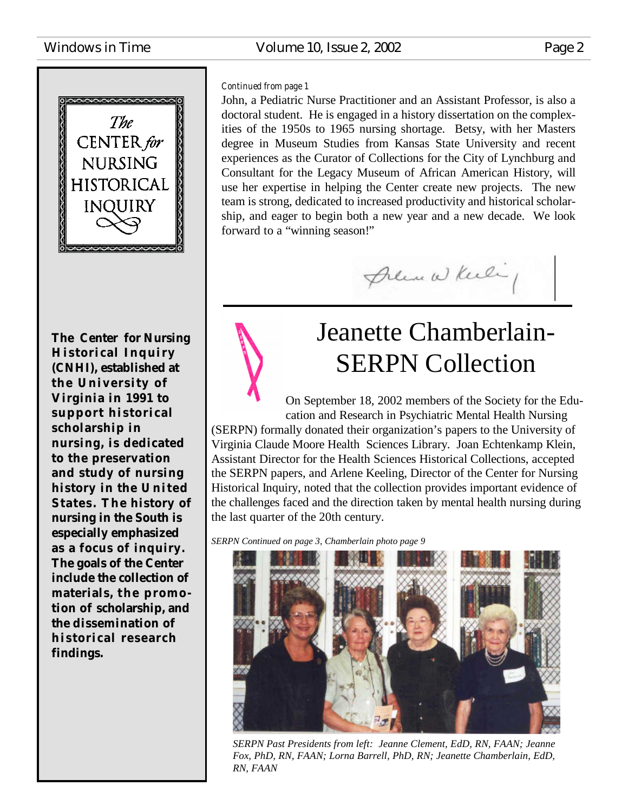# COOCOOCOO The CENTER for **NURSING HISTORICAL INQUIRY**

**The Center for Nursing Historical Inquiry (CNHI), established at the University of Virginia in 1991 to support historical scholarship in nursing, is dedicated to the preservation and study of nursing history in the U nited States. The history of nursing in the South is especially emphasized as a focus of inquiry. The goals of the Center include the collection of** materials, the promo**tion of scholarship, and the dissemination of historical research findings.**

### Windows in Time **Volume 10, Issue 2, 2002** Page 2

### *Continued from page 1*

John, a Pediatric Nurse Practitioner and an Assistant Professor, is also a doctoral student. He is engaged in a history dissertation on the complexities of the 1950s to 1965 nursing shortage. Betsy, with her Masters degree in Museum Studies from Kansas State University and recent experiences as the Curator of Collections for the City of Lynchburg and Consultant for the Legacy Museum of African American History, will use her expertise in helping the Center create new projects. The new team is strong, dedicated to increased productivity and historical scholarship, and eager to begin both a new year and a new decade. We look forward to a "winning season!"



# Jeanette Chamberlain-SERPN Collection

On September 18, 2002 members of the Society for the Education and Research in Psychiatric Mental Health Nursing (SERPN) formally donated their organization's papers to the University of Virginia Claude Moore Health Sciences Library. Joan Echtenkamp Klein, Assistant Director for the Health Sciences Historical Collections, accepted the SERPN papers, and Arlene Keeling, Director of the Center for Nursing Historical Inquiry, noted that the collection provides important evidence of the challenges faced and the direction taken by mental health nursing during the last quarter of the 20th century.

*SERPN Continued on page 3, Chamberlain photo page 9*



*SERPN Past Presidents from left: Jeanne Clement, EdD, RN, FAAN; Jeanne Fox, PhD, RN, FAAN; Lorna Barrell, PhD, RN; Jeanette Chamberlain, EdD, RN, FAAN*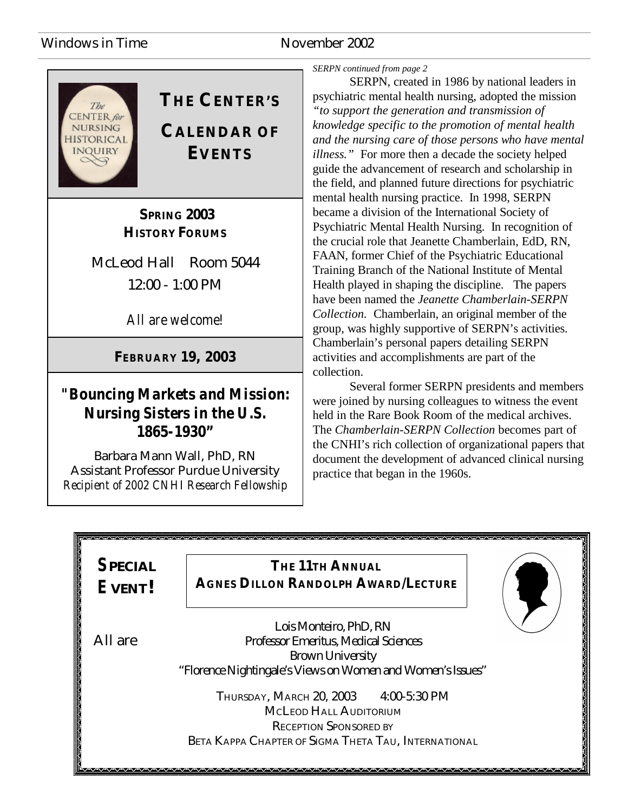### Windows in Time November 2002



### **THE CENTER'S**

**CALENDAR OF EVENTS**

 **SPRING 2003 HISTORY FORUMS**

McLeod Hall Room 5044 12:00 - 1:00 PM

*All are welcome!*

### **FEBRUARY 19, 2003**

### *"Bouncing Markets and Mission: Nursing Sisters in the U.S. 1865-1930"*

Barbara Mann Wall, PhD, RN Assistant Professor Purdue University *Recipient of 2002 CNHI Research Fellowship* *SERPN continued from page 2*

SERPN, created in 1986 by national leaders in psychiatric mental health nursing, adopted the mission *"to support the generation and transmission of knowledge specific to the promotion of mental health and the nursing care of those persons who have mental illness."* For more then a decade the society helped guide the advancement of research and scholarship in the field, and planned future directions for psychiatric mental health nursing practice. In 1998, SERPN became a division of the International Society of Psychiatric Mental Health Nursing. In recognition of the crucial role that Jeanette Chamberlain, EdD, RN, FAAN, former Chief of the Psychiatric Educational Training Branch of the National Institute of Mental Health played in shaping the discipline. The papers have been named the *Jeanette Chamberlain-SERPN Collection.* Chamberlain, an original member of the group, was highly supportive of SERPN's activities. Chamberlain's personal papers detailing SERPN activities and accomplishments are part of the collection.

Several former SERPN presidents and members were joined by nursing colleagues to witness the event held in the Rare Book Room of the medical archives. The *Chamberlain-SERPN Collection* becomes part of the CNHI's rich collection of organizational papers that document the development of advanced clinical nursing practice that began in the 1960s.

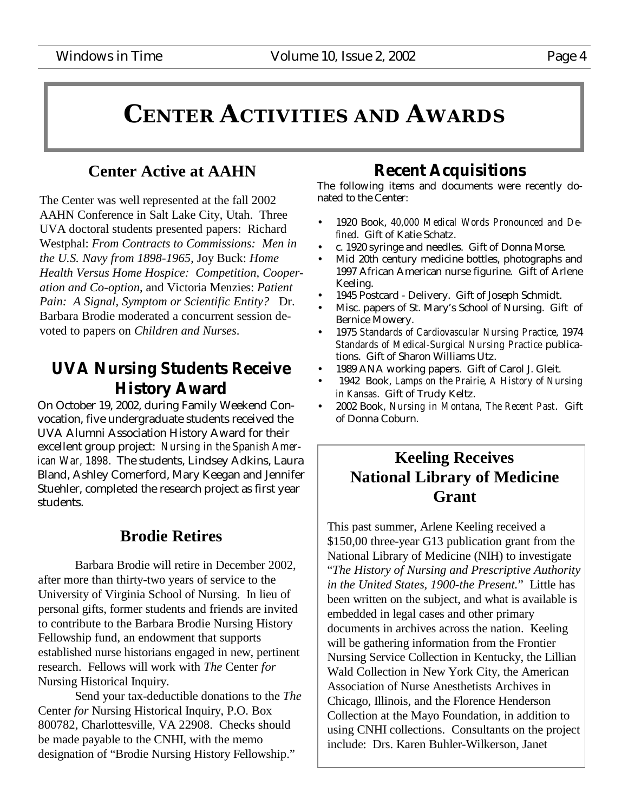# **CENTER ACTIVITIES AND AWARDS**

### **Center Active at AAHN**

The Center was well represented at the fall 2002 AAHN Conference in Salt Lake City, Utah. Three UVA doctoral students presented papers: Richard Westphal: *From Contracts to Commissions: Men in the U.S. Navy from 1898-1965*, Joy Buck: *Home Health Versus Home Hospice: Competition, Cooperation and Co-option*, and Victoria Menzies: *Patient Pain: A Signal, Symptom or Scientific Entity?* Dr. Barbara Brodie moderated a concurrent session devoted to papers on *Children and Nurses*.

### **UVA Nursing Students Receive History Award**

On October 19, 2002, during Family Weekend Convocation, five undergraduate students received the UVA Alumni Association History Award for their excellent group project: *Nursing in the Spanish American War, 1898*. The students, Lindsey Adkins, Laura Bland, Ashley Comerford, Mary Keegan and Jennifer Stuehler, completed the research project as first year students.

### **Brodie Retires**

Barbara Brodie will retire in December 2002, after more than thirty-two years of service to the University of Virginia School of Nursing. In lieu of personal gifts, former students and friends are invited to contribute to the Barbara Brodie Nursing History Fellowship fund, an endowment that supports established nurse historians engaged in new, pertinent research. Fellows will work with *The* Center *for* Nursing Historical Inquiry.

Send your tax-deductible donations to the *The* Center *for* Nursing Historical Inquiry, P.O. Box 800782, Charlottesville, VA 22908. Checks should be made payable to the CNHI, with the memo designation of "Brodie Nursing History Fellowship."

### **Recent Acquisitions**

The following items and documents were recently donated to the Center:

- 1920 Book, *40,000 Medical Words Pronounced and Defined*. Gift of Katie Schatz.
- c. 1920 syringe and needles. Gift of Donna Morse.
- Mid 20th century medicine bottles, photographs and 1997 African American nurse figurine. Gift of Arlene Keeling.
- 1945 Postcard Delivery. Gift of Joseph Schmidt.
- Misc. papers of St. Mary's School of Nursing. Gift of Bernice Mowery.
- 1975 *Standards of Cardiovascular Nursing Practice*, 1974 *Standards of Medical-Surgical Nursing Practice* publications. Gift of Sharon Williams Utz.
- 1989 ANA working papers. Gift of Carol J. Gleit.
- 1942 Book, *Lamps on the Prairie, A History of Nursing in Kansas*. Gift of Trudy Keltz.
- 2002 Book, *Nursing in Montana, The Recent Past*. Gift of Donna Coburn.

### **Keeling Receives National Library of Medicine Grant**

This past summer, Arlene Keeling received a \$150,00 three-year G13 publication grant from the National Library of Medicine (NIH) to investigate "*The History of Nursing and Prescriptive Authority in the United States, 1900-the Present.*" Little has been written on the subject, and what is available is embedded in legal cases and other primary documents in archives across the nation. Keeling will be gathering information from the Frontier Nursing Service Collection in Kentucky, the Lillian Wald Collection in New York City, the American Association of Nurse Anesthetists Archives in Chicago, Illinois, and the Florence Henderson Collection at the Mayo Foundation, in addition to using CNHI collections. Consultants on the project include: Drs. Karen Buhler-Wilkerson, Janet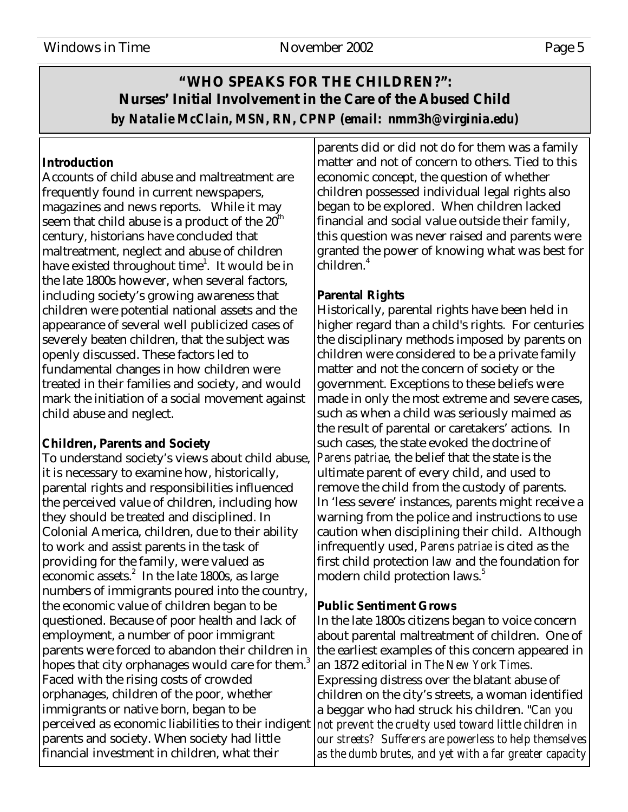### **"WHO SPEAKS FOR THE CHILDREN?": Nurses' Initial Involvement in the Care of the Abused Child** *by Natalie McClain, MSN, RN, CPNP (email: nmm3h@virginia.edu)*

### **Introduction**

Accounts of child abuse and maltreatment are frequently found in current newspapers, magazines and news reports. While it may seem that child abuse is a product of the  $20^{\text{th}}$ century, historians have concluded that maltreatment, neglect and abuse of children have existed throughout time $^{1}$ . It would be in the late 1800s however, when several factors, including society's growing awareness that children were potential national assets and the appearance of several well publicized cases of severely beaten children, that the subject was openly discussed. These factors led to fundamental changes in how children were treated in their families and society, and would mark the initiation of a social movement against child abuse and neglect.

### **Children, Parents and Society**

To understand society's views about child abuse, it is necessary to examine how, historically, parental rights and responsibilities influenced the perceived value of children, including how they should be treated and disciplined. In Colonial America, children, due to their ability to work and assist parents in the task of providing for the family, were valued as economic assets. $^{2}$  In the late 1800s, as large numbers of immigrants poured into the country, the economic value of children began to be questioned. Because of poor health and lack of employment, a number of poor immigrant parents were forced to abandon their children in hopes that city orphanages would care for them.<sup>3</sup> Faced with the rising costs of crowded orphanages, children of the poor, whether immigrants or native born, began to be perceived as economic liabilities to their indigent parents and society. When society had little financial investment in children, what their

parents did or did not do for them was a family matter and not of concern to others. Tied to this economic concept, the question of whether children possessed individual legal rights also began to be explored. When children lacked financial and social value outside their family, this question was never raised and parents were granted the power of knowing what was best for children.<sup>4</sup>

### **Parental Rights**

Historically, parental rights have been held in higher regard than a child's rights. For centuries the disciplinary methods imposed by parents on children were considered to be a private family matter and not the concern of society or the government. Exceptions to these beliefs were made in only the most extreme and severe cases, such as when a child was seriously maimed as the result of parental or caretakers' actions. In such cases, the state evoked the doctrine of *Parens patriae,* the belief that the state is the ultimate parent of every child, and used to remove the child from the custody of parents. In 'less severe' instances, parents might receive a warning from the police and instructions to use caution when disciplining their child. Although infrequently used, *Parens patriae* is cited as the first child protection law and the foundation for modern child protection laws.<sup>5</sup>

### **Public Sentiment Grows**

In the late 1800s citizens began to voice concern about parental maltreatment of children. One of the earliest examples of this concern appeared in an 1872 editorial in *The New York Times*. Expressing distress over the blatant abuse of children on the city's streets, a woman identified a beggar who had struck his children. "*Can you not prevent the cruelty used toward little children in our streets? Sufferers are powerless to help themselves as the dumb brutes, and yet with a far greater capacity*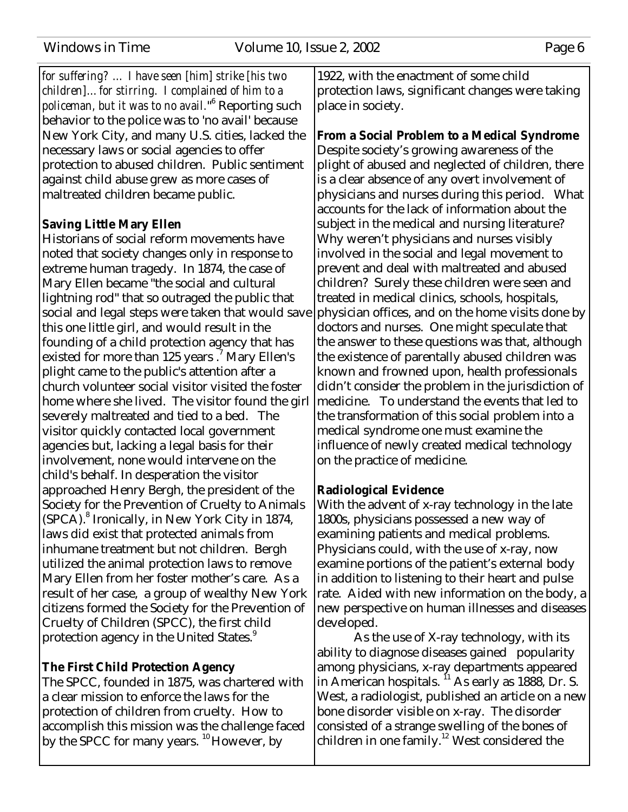*for suffering? … I have seen [him] strike [his two children]… for stirring. I complained of him to a policeman, but it was to no avail.*" 6 Reporting such behavior to the police was to 'no avail' because New York City, and many U.S. cities, lacked the necessary laws or social agencies to offer protection to abused children. Public sentiment against child abuse grew as more cases of maltreated children became public.

### **Saving Little Mary Ellen**

Historians of social reform movements have noted that society changes only in response to extreme human tragedy. In 1874, the case of Mary Ellen became "the social and cultural lightning rod" that so outraged the public that social and legal steps were taken that would save this one little girl, and would result in the founding of a child protection agency that has existed for more than 125 years.<sup>7</sup> Mary Ellen's plight came to the public's attention after a church volunteer social visitor visited the foster home where she lived. The visitor found the girl severely maltreated and tied to a bed. The visitor quickly contacted local government agencies but, lacking a legal basis for their involvement, none would intervene on the child's behalf. In desperation the visitor approached Henry Bergh, the president of the Society for the Prevention of Cruelty to Animals (SPCA).<sup>8</sup> Ironically, in New York City in 1874, laws did exist that protected animals from inhumane treatment but not children. Bergh utilized the animal protection laws to remove Mary Ellen from her foster mother's care. As a result of her case, a group of wealthy New York citizens formed the Society for the Prevention of Cruelty of Children (SPCC), the first child protection agency in the United States.<sup>9</sup>

### **The First Child Protection Agency**

The SPCC, founded in 1875, was chartered with a clear mission to enforce the laws for the protection of children from cruelty. How to accomplish this mission was the challenge faced by the SPCC for many years. <sup>10</sup> However, by

1922, with the enactment of some child protection laws, significant changes were taking place in society.

**From a Social Problem to a Medical Syndrome** Despite society's growing awareness of the plight of abused and neglected of children, there is a clear absence of any overt involvement of physicians and nurses during this period. What accounts for the lack of information about the subject in the medical and nursing literature? Why weren't physicians and nurses visibly involved in the social and legal movement to prevent and deal with maltreated and abused children? Surely these children were seen and treated in medical clinics, schools, hospitals, physician offices, and on the home visits done by doctors and nurses. One might speculate that the answer to these questions was that, although the existence of parentally abused children was known and frowned upon, health professionals didn't consider the problem in the jurisdiction of medicine. To understand the events that led to the transformation of this social problem into a medical syndrome one must examine the influence of newly created medical technology on the practice of medicine.

### **Radiological Evidence**

With the advent of x-ray technology in the late 1800s, physicians possessed a new way of examining patients and medical problems. Physicians could, with the use of x-ray, now examine portions of the patient's external body in addition to listening to their heart and pulse rate. Aided with new information on the body, a new perspective on human illnesses and diseases developed.

As the use of X-ray technology, with its ability to diagnose diseases gained popularity among physicians, x-ray departments appeared in American hospitals. <sup>11</sup> As early as 1888, Dr. S. West, a radiologist, published an article on a new bone disorder visible on x-ray. The disorder consisted of a strange swelling of the bones of children in one family.<sup>12</sup> West considered the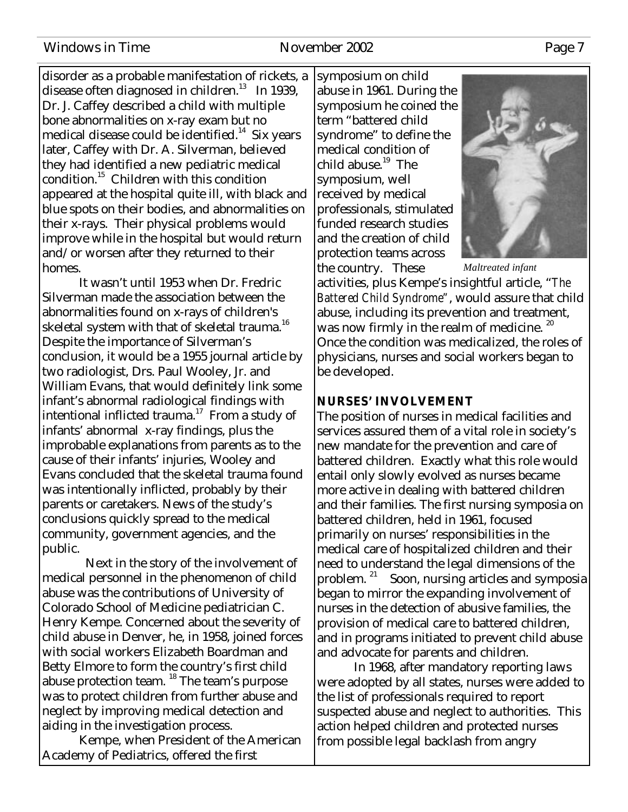### Windows in Time November 2002 Page 7

disorder as a probable manifestation of rickets, a disease often diagnosed in children.<sup>13</sup> In 1939, Dr. J. Caffey described a child with multiple bone abnormalities on x-ray exam but no medical disease could be identified.<sup>14</sup> Six years later, Caffey with Dr. A. Silverman, believed they had identified a new pediatric medical condition.<sup>15</sup> Children with this condition appeared at the hospital quite ill, with black and blue spots on their bodies, and abnormalities on their x-rays. Their physical problems would improve while in the hospital but would return and/or worsen after they returned to their homes.

It wasn't until 1953 when Dr. Fredric Silverman made the association between the abnormalities found on x-rays of children's skeletal system with that of skeletal trauma.<sup>16</sup> Despite the importance of Silverman's conclusion, it would be a 1955 journal article by two radiologist, Drs. Paul Wooley, Jr. and William Evans, that would definitely link some infant's abnormal radiological findings with intentional inflicted trauma.<sup>17</sup> From a study of infants' abnormal x-ray findings, plus the improbable explanations from parents as to the cause of their infants' injuries, Wooley and Evans concluded that the skeletal trauma found was intentionally inflicted, probably by their parents or caretakers. News of the study's conclusions quickly spread to the medical community, government agencies, and the public.

 Next in the story of the involvement of medical personnel in the phenomenon of child abuse was the contributions of University of Colorado School of Medicine pediatrician C. Henry Kempe. Concerned about the severity of child abuse in Denver, he, in 1958, joined forces with social workers Elizabeth Boardman and Betty Elmore to form the country's first child abuse protection team. <sup>18</sup> The team's purpose was to protect children from further abuse and neglect by improving medical detection and aiding in the investigation process.

Kempe, when President of the American Academy of Pediatrics, offered the first

symposium on child abuse in 1961. During the symposium he coined the term "battered child syndrome" to define the medical condition of child abuse. $19$  The symposium, well received by medical professionals, stimulated funded research studies and the creation of child protection teams across the country. These



*Maltreated infant*

activities, plus Kempe's insightful article, "*The Battered Child Syndrome"*, would assure that child abuse, including its prevention and treatment, was now firmly in the realm of medicine.  $^{20}$ Once the condition was medicalized, the roles of physicians, nurses and social workers began to be developed.

### **NURSES' INVOLVEMENT**

The position of nurses in medical facilities and services assured them of a vital role in society's new mandate for the prevention and care of battered children. Exactly what this role would entail only slowly evolved as nurses became more active in dealing with battered children and their families. The first nursing symposia on battered children, held in 1961, focused primarily on nurses' responsibilities in the medical care of hospitalized children and their need to understand the legal dimensions of the problem. <sup>21</sup> Soon, nursing articles and symposia began to mirror the expanding involvement of nurses in the detection of abusive families, the provision of medical care to battered children, and in programs initiated to prevent child abuse and advocate for parents and children.

In 1968, after mandatory reporting laws were adopted by all states, nurses were added to the list of professionals required to report suspected abuse and neglect to authorities. This action helped children and protected nurses from possible legal backlash from angry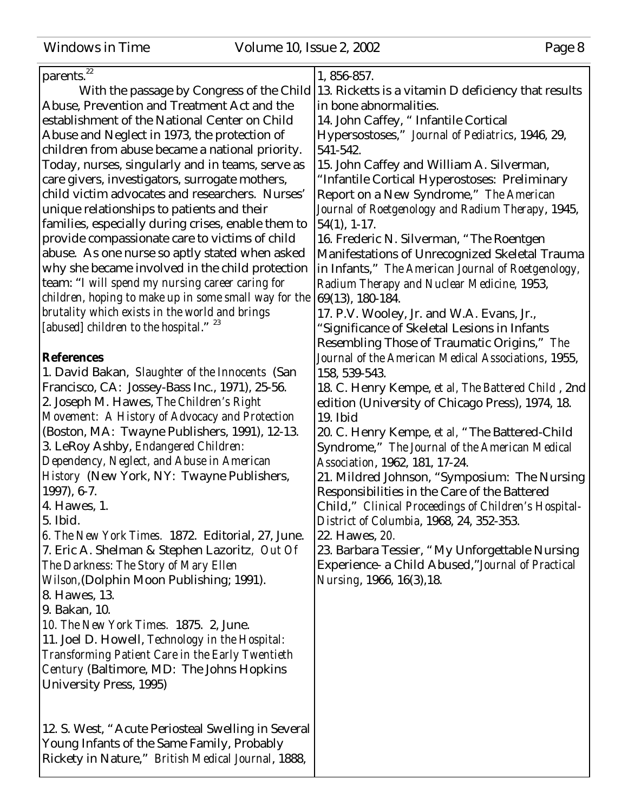| <b>Windows in Time</b> |  |  |
|------------------------|--|--|
|                        |  |  |

Volume 10, Issue 2, 2002 Page 8

| parents. <sup>22</sup>                                | 1, 856-857.                                          |
|-------------------------------------------------------|------------------------------------------------------|
| With the passage by Congress of the Child             | 13. Ricketts is a vitamin D deficiency that results  |
| Abuse, Prevention and Treatment Act and the           | in bone abnormalities.                               |
| establishment of the National Center on Child         | 14. John Caffey, " Infantile Cortical                |
| Abuse and Neglect in 1973, the protection of          | Hypersostoses," Journal of Pediatrics, 1946, 29,     |
| children from abuse became a national priority.       | 541-542.                                             |
| Today, nurses, singularly and in teams, serve as      | 15. John Caffey and William A. Silverman,            |
| care givers, investigators, surrogate mothers,        | "Infantile Cortical Hyperostoses: Preliminary        |
| child victim advocates and researchers. Nurses'       |                                                      |
|                                                       | Report on a New Syndrome," The American              |
| unique relationships to patients and their            | Journal of Roetgenology and Radium Therapy, 1945,    |
| families, especially during crises, enable them to    | $54(1), 1-17.$                                       |
| provide compassionate care to victims of child        | 16. Frederic N. Silverman, "The Roentgen             |
| abuse. As one nurse so aptly stated when asked        | Manifestations of Unrecognized Skeletal Trauma       |
| why she became involved in the child protection       | in Infants," The American Journal of Roetgenology,   |
| team: "I will spend my nursing career caring for      | Radium Therapy and Nuclear Medicine, 1953,           |
| children, hoping to make up in some small way for the | 69(13), 180-184.                                     |
| brutality which exists in the world and brings        | 17. P.V. Wooley, Jr. and W.A. Evans, Jr.,            |
| [abused] children to the hospital." <sup>23</sup>     | "Significance of Skeletal Lesions in Infants         |
|                                                       | Resembling Those of Traumatic Origins," The          |
| <b>References</b>                                     | Journal of the American Medical Associations, 1955,  |
| 1. David Bakan, Slaughter of the Innocents (San       | 158, 539-543.                                        |
| Francisco, CA: Jossey-Bass Inc., 1971), 25-56.        | 18. C. Henry Kempe, et al, The Battered Child, 2nd   |
| 2. Joseph M. Hawes, The Children's Right              | edition (University of Chicago Press), 1974, 18.     |
| Movement: A History of Advocacy and Protection        | 19. Ibid                                             |
| (Boston, MA: Twayne Publishers, 1991), 12-13.         | 20. C. Henry Kempe, et al, "The Battered-Child       |
| 3. LeRoy Ashby, Endangered Children:                  | Syndrome," The Journal of the American Medical       |
| Dependency, Neglect, and Abuse in American            | Association, 1962, 181, 17-24.                       |
| History (New York, NY: Twayne Publishers,             | 21. Mildred Johnson, "Symposium: The Nursing         |
| $1997, 6-7.$                                          | Responsibilities in the Care of the Battered         |
| 4. Hawes, 1.                                          |                                                      |
| $5.$ Ibid.                                            | Child," Clinical Proceedings of Children's Hospital- |
|                                                       | District of Columbia, 1968, 24, 352-353.             |
| 6. The New York Times. 1872. Editorial, 27, June.     | 22. Hawes, 20.                                       |
| 7. Eric A. Shelman & Stephen Lazoritz, Out Of         | 23. Barbara Tessier, "My Unforgettable Nursing       |
| The Darkness: The Story of Mary Ellen                 | Experience- a Child Abused," Journal of Practical    |
| Wilson, (Dolphin Moon Publishing; 1991).              | Nursing, 1966, 16(3), 18.                            |
| 8. Hawes, 13.                                         |                                                      |
| 9. Bakan, 10.                                         |                                                      |
| 10. The New York Times. 1875. 2, June.                |                                                      |
| 11. Joel D. Howell, Technology in the Hospital:       |                                                      |
| Transforming Patient Care in the Early Twentieth      |                                                      |
| Century (Baltimore, MD: The Johns Hopkins             |                                                      |
| University Press, 1995)                               |                                                      |
|                                                       |                                                      |
| 12. S. West, "Acute Periosteal Swelling in Several    |                                                      |
| Young Infants of the Same Family, Probably            |                                                      |
| Rickety in Nature," British Medical Journal, 1888,    |                                                      |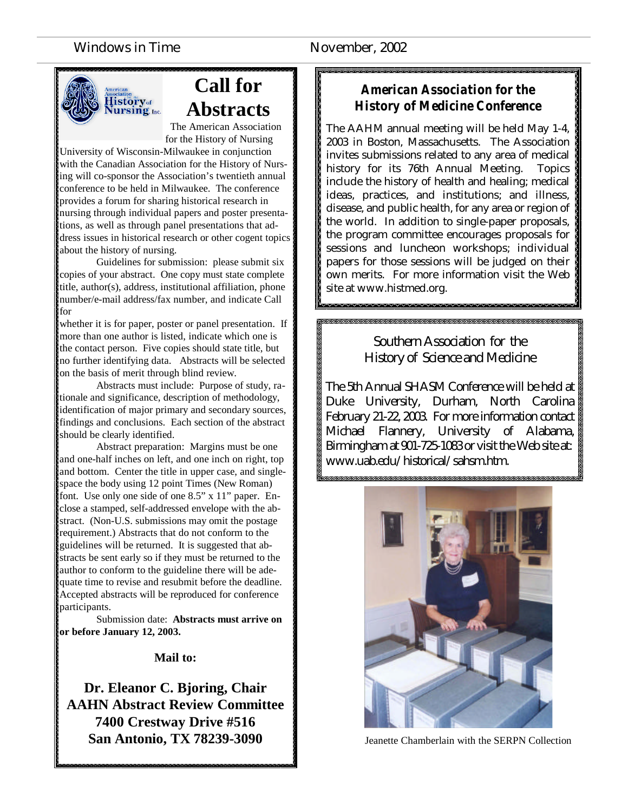### Windows in Time November, 2002



## **Call for Abstracts**

The American Association for the History of Nursing

University of Wisconsin-Milwaukee in conjunction with the Canadian Association for the History of Nursing will co-sponsor the Association's twentieth annual conference to be held in Milwaukee. The conference provides a forum for sharing historical research in nursing through individual papers and poster presentations, as well as through panel presentations that address issues in historical research or other cogent topics about the history of nursing.

Guidelines for submission: please submit six copies of your abstract. One copy must state complete title, author(s), address, institutional affiliation, phone number/e-mail address/fax number, and indicate Call for

whether it is for paper, poster or panel presentation. If more than one author is listed, indicate which one is the contact person. Five copies should state title, but no further identifying data. Abstracts will be selected on the basis of merit through blind review.

Abstracts must include: Purpose of study, rationale and significance, description of methodology, identification of major primary and secondary sources, findings and conclusions. Each section of the abstract should be clearly identified.

Abstract preparation: Margins must be one and one-half inches on left, and one inch on right, top and bottom. Center the title in upper case, and singlespace the body using 12 point Times (New Roman) font. Use only one side of one 8.5" x 11" paper. Enclose a stamped, self-addressed envelope with the abstract. (Non-U.S. submissions may omit the postage requirement.) Abstracts that do not conform to the guidelines will be returned. It is suggested that abstracts be sent early so if they must be returned to the author to conform to the guideline there will be adequate time to revise and resubmit before the deadline. Accepted abstracts will be reproduced for conference participants.

Submission date: **Abstracts must arrive on or before January 12, 2003.**

### **Mail to:**

**Dr. Eleanor C. Bjoring, Chair AAHN Abstract Review Committee 7400 Crestway Drive #516 San Antonio, TX 78239-3090 Jeanette Chamberlain with the SERPN Collection** 

### *American Association for the History of Medicine Conference*

The AAHM annual meeting will be held May 1-4, 2003 in Boston, Massachusetts. The Association invites submissions related to any area of medical history for its 76th Annual Meeting. Topics include the history of health and healing; medical ideas, practices, and institutions; and illness, disease, and public health, for any area or region of the world. In addition to single-paper proposals, the program committee encourages proposals for sessions and luncheon workshops; individual papers for those sessions will be judged on their own merits. For more information visit the Web site at www.histmed.org.

### Southern Association for the History of Science and Medicine

The 5th Annual SHASM Conference will be held at Duke University, Durham, North Carolina February 21-22, 2003. For more information contact Michael Flannery, University of Alabama, Birmingham at 901-725-1083 or visit the Web site at: www.uab.edu/historical/sahsm.htm.

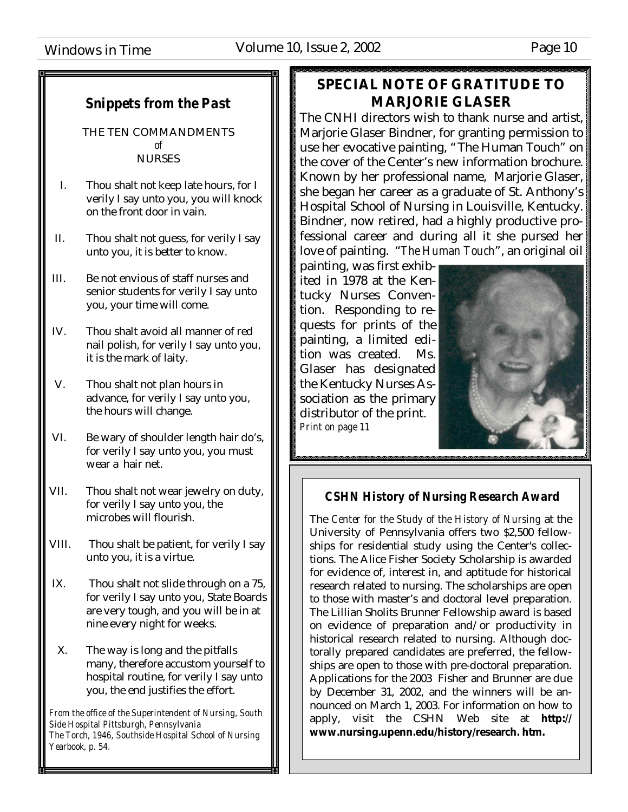### *Snippets from the Past*

THE TEN COMMANDMENTS *of* NURSES

- I. Thou shalt not keep late hours, for I verily I say unto you, you will knock on the front door in vain.
- II. Thou shalt not guess, for verily I say unto you, it is better to know.
- III. Be not envious of staff nurses and senior students for verily I say unto you, your time will come.
- IV. Thou shalt avoid all manner of red nail polish, for verily I say unto you, it is the mark of laity.
- V. Thou shalt not plan hours in advance, for verily I say unto you, the hours will change.
- VI. Be wary of shoulder length hair do's, for verily I say unto you, you must wear a hair net.
- VII. Thou shalt not wear jewelry on duty, for verily I say unto you, the microbes will flourish.
- VIII. Thou shalt be patient, for verily I say unto you, it is a virtue.
- IX. Thou shalt not slide through on a 75, for verily I say unto you, State Boards are very tough, and you will be in at nine every night for weeks.
- X. The way is long and the pitfalls many, therefore accustom yourself to hospital routine, for verily I say unto you, the end justifies the effort.

*From the office of the Superintendent of Nursing, South Side Hospital Pittsburgh, Pennsylvania The Torch, 1946, Southside Hospital School of Nursing Yearbook, p. 54.*

### \*\*\*\*\*\*\*\*\*\*\*\*\*\*\*\*\*\*\*\*\*\*\*\*\*\*\*\*\*\*\*\*\*\*\*\* **SPECIAL NOTE OF GRATITUDE TO MARJORIE GLASER**

The CNHI directors wish to thank nurse and artist, Marjorie Glaser Bindner, for granting permission to use her evocative painting, "The Human Touch" on the cover of the Center's new information brochure. Known by her professional name, Marjorie Glaser, she began her career as a graduate of St. Anthony's Hospital School of Nursing in Louisville, Kentucky. Bindner, now retired, had a highly productive professional career and during all it she pursed her love of painting. "*The Human Touch*", an original oil

painting, was first exhibited in 1978 at the Kentucky Nurses Convention. Responding to requests for prints of the painting, a limited edition was created. Ms. Glaser has designated the Kentucky Nurses Association as the primary distributor of the print. *Print on page 11*



### *CSHN History of Nursing Research Award*

The *Center for the Study of the History of Nursing* at the University of Pennsylvania offers two \$2,500 fellowships for residential study using the Center's collections. The Alice Fisher Society Scholarship is awarded for evidence of, interest in, and aptitude for historical research related to nursing. The scholarships are open to those with master's and doctoral level preparation. The Lillian Sholits Brunner Fellowship award is based on evidence of preparation and/or productivity in historical research related to nursing. Although doctorally prepared candidates are preferred, the fellowships are open to those with pre-doctoral preparation. Applications for the 2003 Fisher and Brunner are due by December 31, 2002, and the winners will be announced on March 1, 2003. For information on how to apply, visit the CSHN Web site at **http:// www.nursing.upenn.edu/history/research. htm.**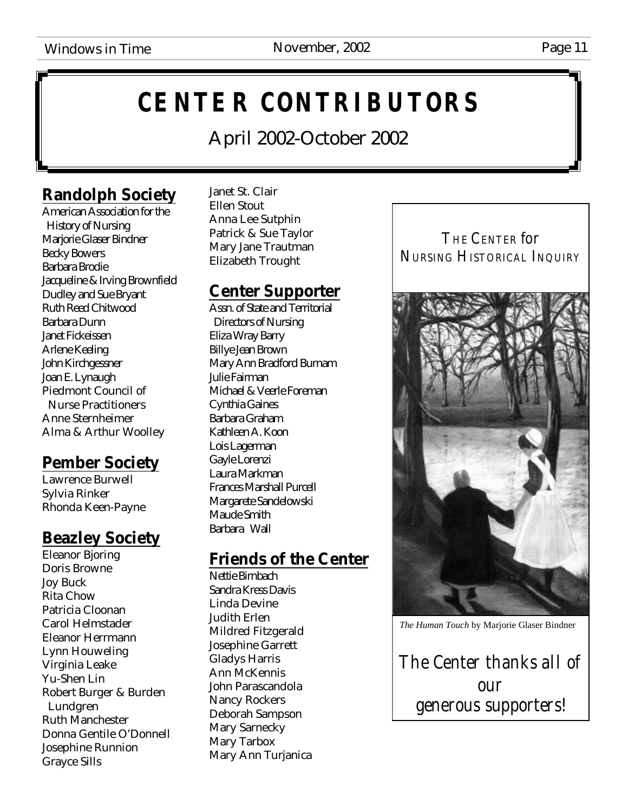# **CENTER CONTRIBUTORS**

April 2002-October 2002

### **Randolph Society**

American Association for the History of Nursing Marjorie Glaser Bindner Becky Bowers Barbara Brodie Jacqueline & Irving Brownfield Dudley and Sue Bryant Ruth Reed Chitwood Barbara Dunn Janet Fickeissen Arlene Keeling John Kirchgessner Joan E. Lynaugh Piedmont Council of Nurse Practitioners Anne Sternheimer Alma & Arthur Woolley

### **Pember Society**

Lawrence Burwell Sylvia Rinker Rhonda Keen-Payne

### **Beazley Society**

Eleanor Bjoring Doris Browne Joy Buck Rita Chow Patricia Cloonan Carol Helmstader Eleanor Herrmann Lynn Houweling Virginia Leake Yu-Shen Lin Robert Burger & Burden Lundgren Ruth Manchester Donna Gentile O'Donnell Josephine Runnion Grayce Sills

Janet St. Clair Ellen Stout Anna Lee Sutphin Patrick & Sue Taylor Mary Jane Trautman Elizabeth Trought

### **Center Supporter**

Assn. of State and Territorial Directors of Nursing Eliza Wray Barry Billye Jean Brown Mary Ann Bradford Burnam Julie Fairman Michael & Veerle Foreman Cynthia Gaines Barbara Graham Kathleen A. Koon Lois Lagerman Gayle Lorenzi Laura Markman Frances Marshall Purcell Margarete Sandelowski Maude Smith Barbara Wall

### **Friends of the Center**

Nettie Birnbach Sandra Kress Davis Linda Devine Judith Erlen Mildred Fitzgerald Josephine Garrett Gladys Harris Ann McKennis John Parascandola Nancy Rockers Deborah Sampson Mary Sarnecky Mary Tarbox Mary Ann Turjanica

THE CENTER *for* NURSING HISTORICAL INQUIRY



*The Human Touch* by Marjorie Glaser Bindner

The Center thanks all of our generous supporters!